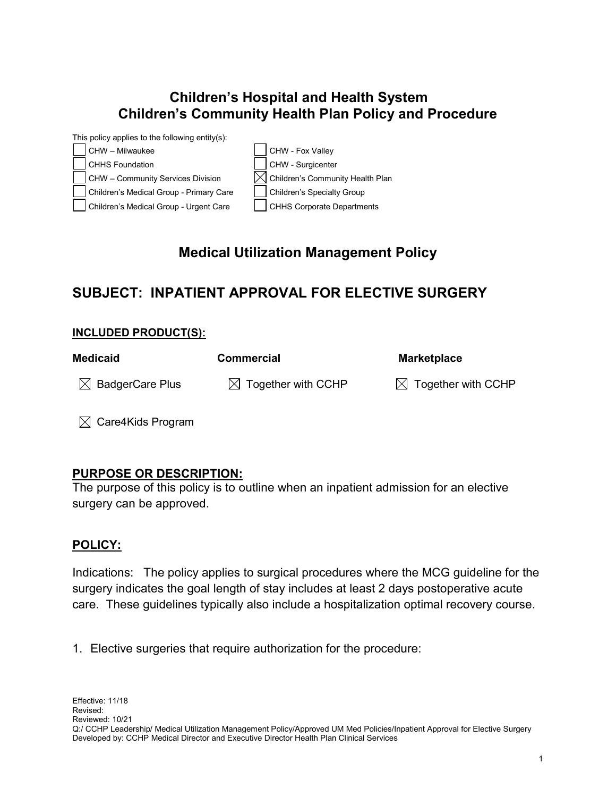## **Children's Hospital and Health System Children's Community Health Plan Policy and Procedure**



# **Medical Utilization Management Policy**

## **SUBJECT: INPATIENT APPROVAL FOR ELECTIVE SURGERY**

#### **INCLUDED PRODUCT(S):**

| <b>Medicaid</b>             | <b>Commercial</b>              | <b>Marketplace</b>             |
|-----------------------------|--------------------------------|--------------------------------|
| $\boxtimes$ BadgerCare Plus | $\boxtimes$ Together with CCHP | $\boxtimes$ Together with CCHP |

 $\boxtimes$  Care4Kids Program

## **PURPOSE OR DESCRIPTION:**

The purpose of this policy is to outline when an inpatient admission for an elective surgery can be approved.

## **POLICY:**

Indications: The policy applies to surgical procedures where the MCG guideline for the surgery indicates the goal length of stay includes at least 2 days postoperative acute care. These guidelines typically also include a hospitalization optimal recovery course.

1. Elective surgeries that require authorization for the procedure: